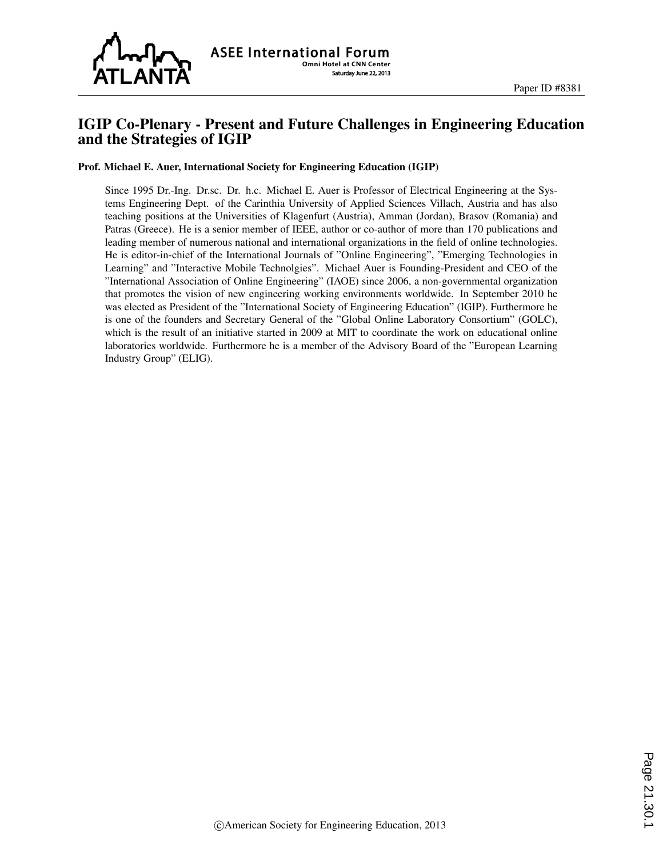

## IGIP Co-Plenary - Present and Future Challenges in Engineering Education and the Strategies of IGIP

#### Prof. Michael E. Auer, International Society for Engineering Education (IGIP)

Since 1995 Dr.-Ing. Dr.sc. Dr. h.c. Michael E. Auer is Professor of Electrical Engineering at the Systems Engineering Dept. of the Carinthia University of Applied Sciences Villach, Austria and has also teaching positions at the Universities of Klagenfurt (Austria), Amman (Jordan), Brasov (Romania) and Patras (Greece). He is a senior member of IEEE, author or co-author of more than 170 publications and leading member of numerous national and international organizations in the field of online technologies. He is editor-in-chief of the International Journals of "Online Engineering", "Emerging Technologies in Learning" and "Interactive Mobile Technolgies". Michael Auer is Founding-President and CEO of the "International Association of Online Engineering" (IAOE) since 2006, a non-governmental organization that promotes the vision of new engineering working environments worldwide. In September 2010 he was elected as President of the "International Society of Engineering Education" (IGIP). Furthermore he is one of the founders and Secretary General of the "Global Online Laboratory Consortium" (GOLC), which is the result of an initiative started in 2009 at MIT to coordinate the work on educational online laboratories worldwide. Furthermore he is a member of the Advisory Board of the "European Learning Industry Group" (ELIG).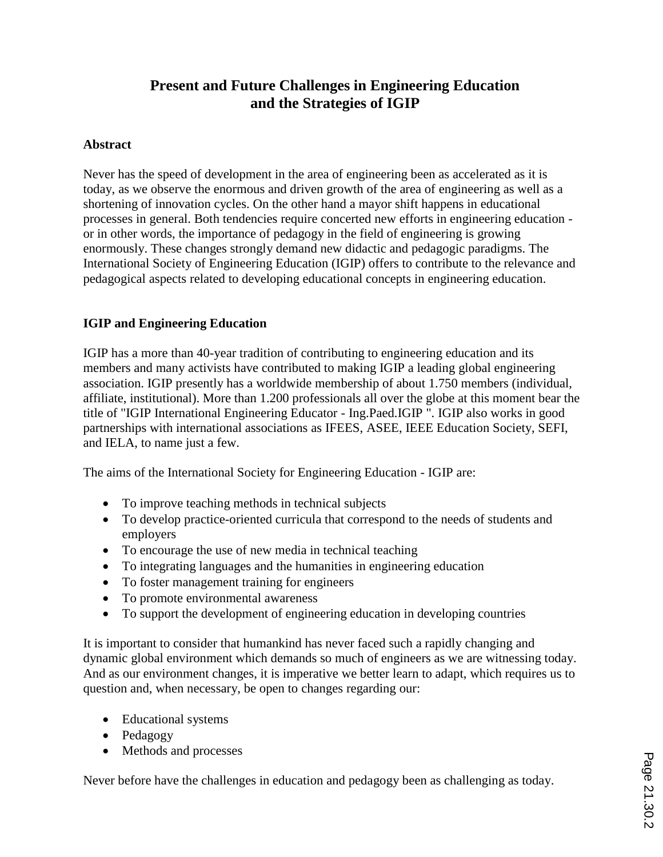# **Present and Future Challenges in Engineering Education and the Strategies of IGIP**

### **Abstract**

Never has the speed of development in the area of engineering been as accelerated as it is today, as we observe the enormous and driven growth of the area of engineering as well as a shortening of innovation cycles. On the other hand a mayor shift happens in educational processes in general. Both tendencies require concerted new efforts in engineering education or in other words, the importance of pedagogy in the field of engineering is growing enormously. These changes strongly demand new didactic and pedagogic paradigms. The International Society of Engineering Education (IGIP) offers to contribute to the relevance and pedagogical aspects related to developing educational concepts in engineering education.

#### **IGIP and Engineering Education**

IGIP has a more than 40-year tradition of contributing to engineering education and its members and many activists have contributed to making IGIP a leading global engineering association. IGIP presently has a worldwide membership of about 1.750 members (individual, affiliate, institutional). More than 1.200 professionals all over the globe at this moment bear the title of "IGIP International Engineering Educator - Ing.Paed.IGIP ". IGIP also works in good partnerships with international associations as IFEES, ASEE, IEEE Education Society, SEFI, and IELA, to name just a few.

The aims of the International Society for Engineering Education - IGIP are:

- To improve teaching methods in technical subjects
- To develop practice-oriented curricula that correspond to the needs of students and employers
- To encourage the use of new media in technical teaching
- To integrating languages and the humanities in engineering education
- To foster management training for engineers
- To promote environmental awareness
- To support the development of engineering education in developing countries

It is important to consider that humankind has never faced such a rapidly changing and dynamic global environment which demands so much of engineers as we are witnessing today. And as our environment changes, it is imperative we better learn to adapt, which requires us to question and, when necessary, be open to changes regarding our:

- Educational systems
- Pedagogy
- Methods and processes

Never before have the challenges in education and pedagogy been as challenging as today.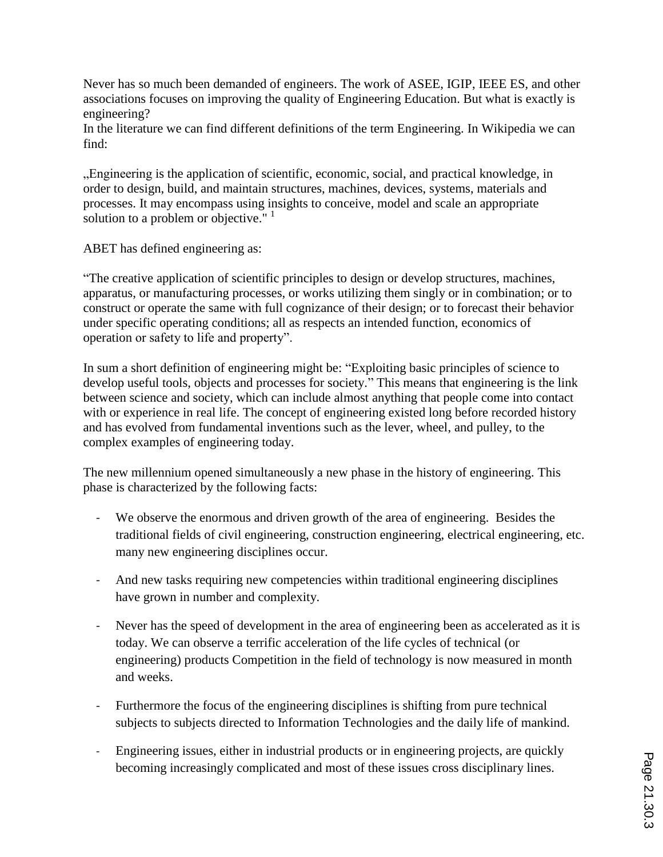Never has so much been demanded of engineers. The work of ASEE, IGIP, IEEE ES, and other associations focuses on improving the quality of Engineering Education. But what is exactly is engineering?

In the literature we can find different definitions of the term Engineering. In Wikipedia we can find:

"Engineering is the application of scientific, economic, social, and practical knowledge, in order to design, build, and maintain structures, machines, devices, systems, materials and processes. It may encompass using insights to conceive, model and scale an appropriate solution to a problem or objective." $1$ 

ABET has defined engineering as:

"The creative application of scientific principles to design or develop structures, machines, apparatus, or manufacturing processes, or works utilizing them singly or in combination; or to construct or operate the same with full cognizance of their design; or to forecast their behavior under specific operating conditions; all as respects an intended function, economics of operation or safety to life and property".

In sum a short definition of engineering might be: "Exploiting basic principles of science to develop useful tools, objects and processes for society." This means that engineering is the link between science and society, which can include almost anything that people come into contact with or experience in real life. The concept of engineering existed long before recorded history and has evolved from fundamental inventions such as the lever, wheel, and pulley, to the complex examples of engineering today.

The new millennium opened simultaneously a new phase in the history of engineering. This phase is characterized by the following facts:

- We observe the enormous and driven growth of the area of engineering. Besides the traditional fields of civil engineering, construction engineering, electrical engineering, etc. many new engineering disciplines occur.
- And new tasks requiring new competencies within traditional engineering disciplines have grown in number and complexity.
- Never has the speed of development in the area of engineering been as accelerated as it is today. We can observe a terrific acceleration of the life cycles of technical (or engineering) products Competition in the field of technology is now measured in month and weeks.
- Furthermore the focus of the engineering disciplines is shifting from pure technical subjects to subjects directed to Information Technologies and the daily life of mankind.
- Engineering issues, either in industrial products or in engineering projects, are quickly becoming increasingly complicated and most of these issues cross disciplinary lines.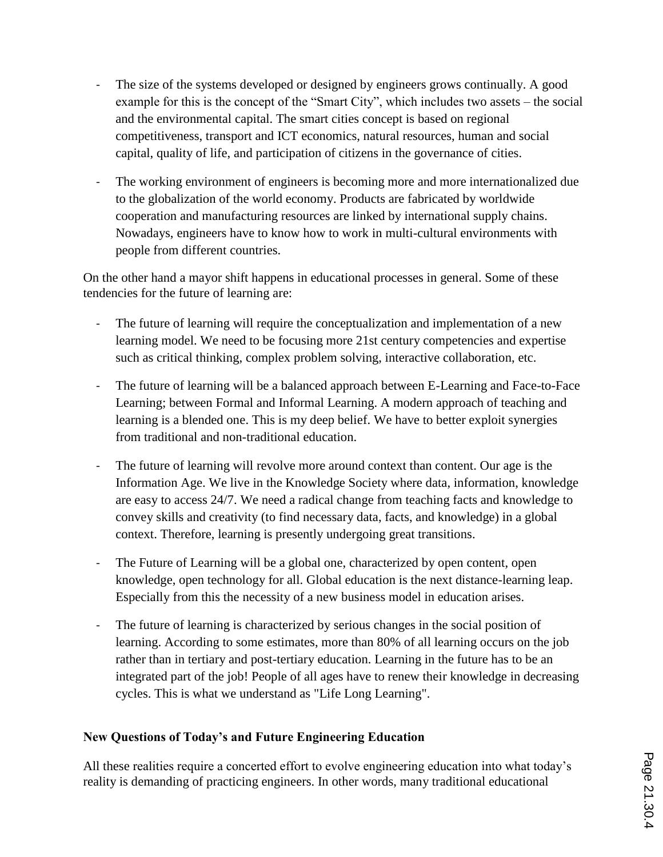- The size of the systems developed or designed by engineers grows continually. A good example for this is the concept of the "Smart City", which includes two assets – the social and the environmental capital. The smart cities concept is based on regional competitiveness, transport and ICT economics, natural resources, human and social capital, quality of life, and participation of citizens in the governance of cities.
- The working environment of engineers is becoming more and more internationalized due to the globalization of the world economy. Products are fabricated by worldwide cooperation and manufacturing resources are linked by international supply chains. Nowadays, engineers have to know how to work in multi-cultural environments with people from different countries.

On the other hand a mayor shift happens in educational processes in general. Some of these tendencies for the future of learning are:

- The future of learning will require the conceptualization and implementation of a new learning model. We need to be focusing more 21st century competencies and expertise such as critical thinking, complex problem solving, interactive collaboration, etc.
- The future of learning will be a balanced approach between E-Learning and Face-to-Face Learning; between Formal and Informal Learning. A modern approach of teaching and learning is a blended one. This is my deep belief. We have to better exploit synergies from traditional and non-traditional education.
- The future of learning will revolve more around context than content. Our age is the Information Age. We live in the Knowledge Society where data, information, knowledge are easy to access 24/7. We need a radical change from teaching facts and knowledge to convey skills and creativity (to find necessary data, facts, and knowledge) in a global context. Therefore, learning is presently undergoing great transitions.
- The Future of Learning will be a global one, characterized by open content, open knowledge, open technology for all. Global education is the next distance-learning leap. Especially from this the necessity of a new business model in education arises.
- The future of learning is characterized by serious changes in the social position of learning. According to some estimates, more than 80% of all learning occurs on the job rather than in tertiary and post-tertiary education. Learning in the future has to be an integrated part of the job! People of all ages have to renew their knowledge in decreasing cycles. This is what we understand as "Life Long Learning".

### **New Questions of Today's and Future Engineering Education**

All these realities require a concerted effort to evolve engineering education into what today's reality is demanding of practicing engineers. In other words, many traditional educational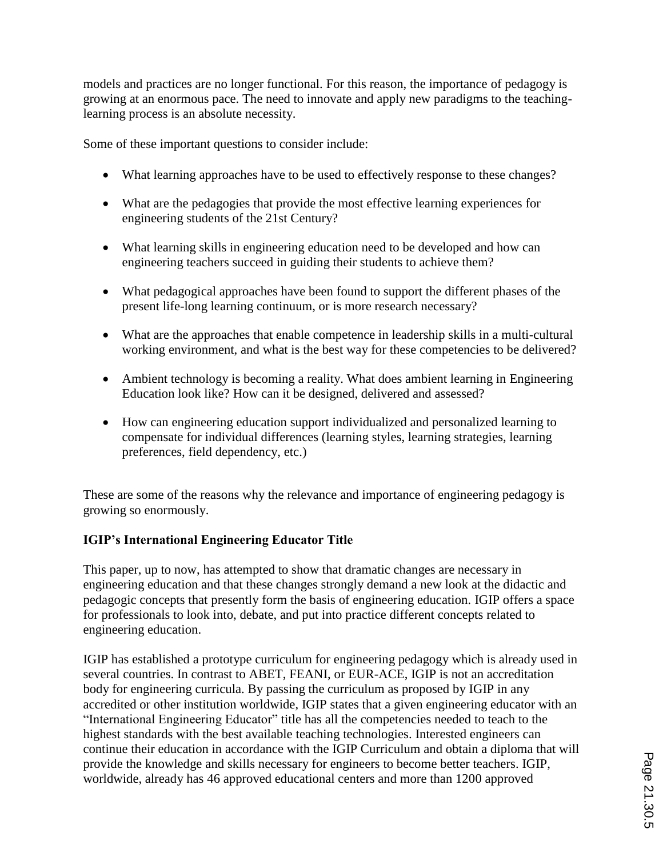models and practices are no longer functional. For this reason, the importance of pedagogy is growing at an enormous pace. The need to innovate and apply new paradigms to the teachinglearning process is an absolute necessity.

Some of these important questions to consider include:

- What learning approaches have to be used to effectively response to these changes?
- What are the pedagogies that provide the most effective learning experiences for engineering students of the 21st Century?
- What learning skills in engineering education need to be developed and how can engineering teachers succeed in guiding their students to achieve them?
- What pedagogical approaches have been found to support the different phases of the present life-long learning continuum, or is more research necessary?
- What are the approaches that enable competence in leadership skills in a multi-cultural working environment, and what is the best way for these competencies to be delivered?
- Ambient technology is becoming a reality. What does ambient learning in Engineering Education look like? How can it be designed, delivered and assessed?
- How can engineering education support individualized and personalized learning to compensate for individual differences (learning styles, learning strategies, learning preferences, field dependency, etc.)

These are some of the reasons why the relevance and importance of engineering pedagogy is growing so enormously.

## **IGIP's International Engineering Educator Title**

This paper, up to now, has attempted to show that dramatic changes are necessary in engineering education and that these changes strongly demand a new look at the didactic and pedagogic concepts that presently form the basis of engineering education. IGIP offers a space for professionals to look into, debate, and put into practice different concepts related to engineering education.

IGIP has established a prototype curriculum for engineering pedagogy which is already used in several countries. In contrast to ABET, FEANI, or EUR-ACE, IGIP is not an accreditation body for engineering curricula. By passing the curriculum as proposed by IGIP in any accredited or other institution worldwide, IGIP states that a given engineering educator with an "International Engineering Educator" title has all the competencies needed to teach to the highest standards with the best available teaching technologies. Interested engineers can continue their education in accordance with the IGIP Curriculum and obtain a diploma that will provide the knowledge and skills necessary for engineers to become better teachers. IGIP, worldwide, already has 46 approved educational centers and more than 1200 approved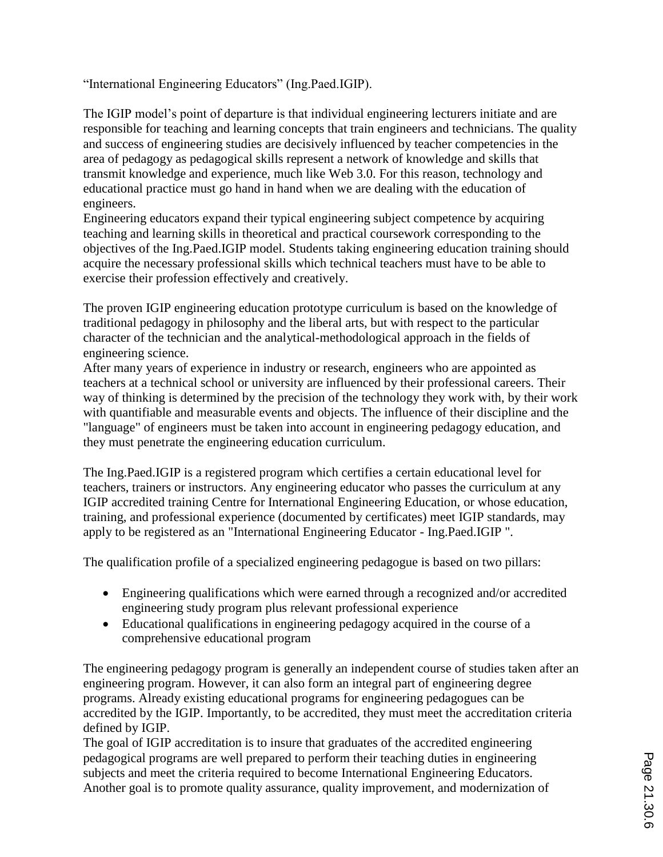"International Engineering Educators" (Ing.Paed.IGIP).

The IGIP model's point of departure is that individual engineering lecturers initiate and are responsible for teaching and learning concepts that train engineers and technicians. The quality and success of engineering studies are decisively influenced by teacher competencies in the area of pedagogy as pedagogical skills represent a network of knowledge and skills that transmit knowledge and experience, much like Web 3.0. For this reason, technology and educational practice must go hand in hand when we are dealing with the education of engineers.

Engineering educators expand their typical engineering subject competence by acquiring teaching and learning skills in theoretical and practical coursework corresponding to the objectives of the Ing.Paed.IGIP model. Students taking engineering education training should acquire the necessary professional skills which technical teachers must have to be able to exercise their profession effectively and creatively.

The proven IGIP engineering education prototype curriculum is based on the knowledge of traditional pedagogy in philosophy and the liberal arts, but with respect to the particular character of the technician and the analytical-methodological approach in the fields of engineering science.

After many years of experience in industry or research, engineers who are appointed as teachers at a technical school or university are influenced by their professional careers. Their way of thinking is determined by the precision of the technology they work with, by their work with quantifiable and measurable events and objects. The influence of their discipline and the "language" of engineers must be taken into account in engineering pedagogy education, and they must penetrate the engineering education curriculum.

The Ing.Paed.IGIP is a registered program which certifies a certain educational level for teachers, trainers or instructors. Any engineering educator who passes the curriculum at any IGIP accredited training Centre for International Engineering Education, or whose education, training, and professional experience (documented by certificates) meet IGIP standards, may apply to be registered as an "International Engineering Educator - Ing.Paed.IGIP ".

The qualification profile of a specialized engineering pedagogue is based on two pillars:

- Engineering qualifications which were earned through a recognized and/or accredited engineering study program plus relevant professional experience
- Educational qualifications in engineering pedagogy acquired in the course of a comprehensive educational program

The engineering pedagogy program is generally an independent course of studies taken after an engineering program. However, it can also form an integral part of engineering degree programs. Already existing educational programs for engineering pedagogues can be accredited by the IGIP. Importantly, to be accredited, they must meet the accreditation criteria defined by IGIP.

The goal of IGIP accreditation is to insure that graduates of the accredited engineering pedagogical programs are well prepared to perform their teaching duties in engineering subjects and meet the criteria required to become International Engineering Educators. Another goal is to promote quality assurance, quality improvement, and modernization of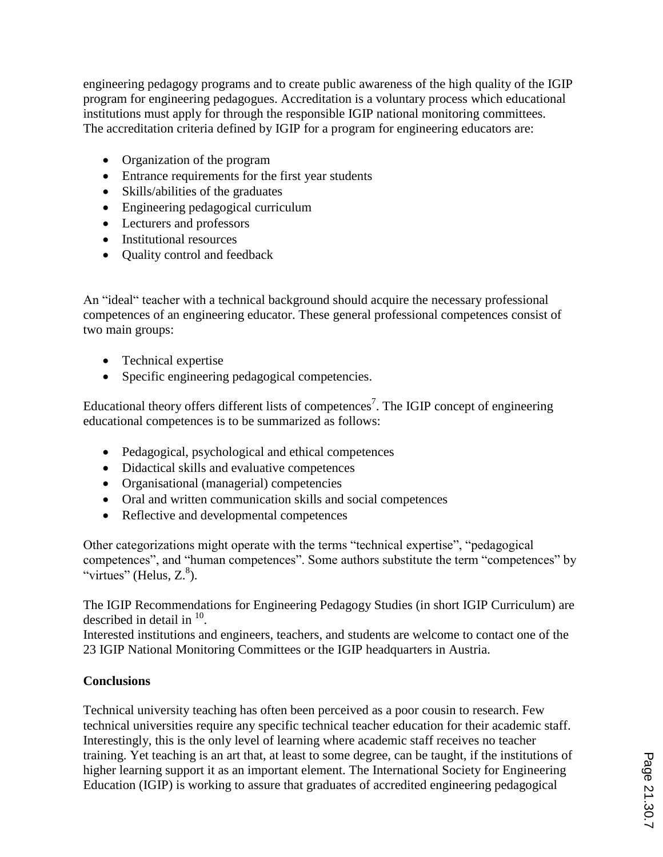engineering pedagogy programs and to create public awareness of the high quality of the IGIP program for engineering pedagogues. Accreditation is a voluntary process which educational institutions must apply for through the responsible IGIP national monitoring committees. The accreditation criteria defined by IGIP for a program for engineering educators are:

- Organization of the program
- Entrance requirements for the first year students
- Skills/abilities of the graduates
- Engineering pedagogical curriculum
- Lecturers and professors
- Institutional resources
- Quality control and feedback

An "ideal" teacher with a technical background should acquire the necessary professional competences of an engineering educator. These general professional competences consist of two main groups:

- Technical expertise
- Specific engineering pedagogical competencies.

Educational theory offers different lists of competences<sup>7</sup>. The IGIP concept of engineering educational competences is to be summarized as follows:

- Pedagogical, psychological and ethical competences
- Didactical skills and evaluative competences
- Organisational (managerial) competencies
- Oral and written communication skills and social competences
- Reflective and developmental competences

Other categorizations might operate with the terms "technical expertise", "pedagogical competences", and "human competences". Some authors substitute the term "competences" by "virtues" (Helus,  $Z^8$ ).

The IGIP Recommendations for Engineering Pedagogy Studies (in short IGIP Curriculum) are described in detail in  $10$ .

Interested institutions and engineers, teachers, and students are welcome to contact one of the 23 IGIP National Monitoring Committees or the IGIP headquarters in Austria.

## **Conclusions**

Technical university teaching has often been perceived as a poor cousin to research. Few technical universities require any specific technical teacher education for their academic staff. Interestingly, this is the only level of learning where academic staff receives no teacher training. Yet teaching is an art that, at least to some degree, can be taught, if the institutions of higher learning support it as an important element. The International Society for Engineering Education (IGIP) is working to assure that graduates of accredited engineering pedagogical